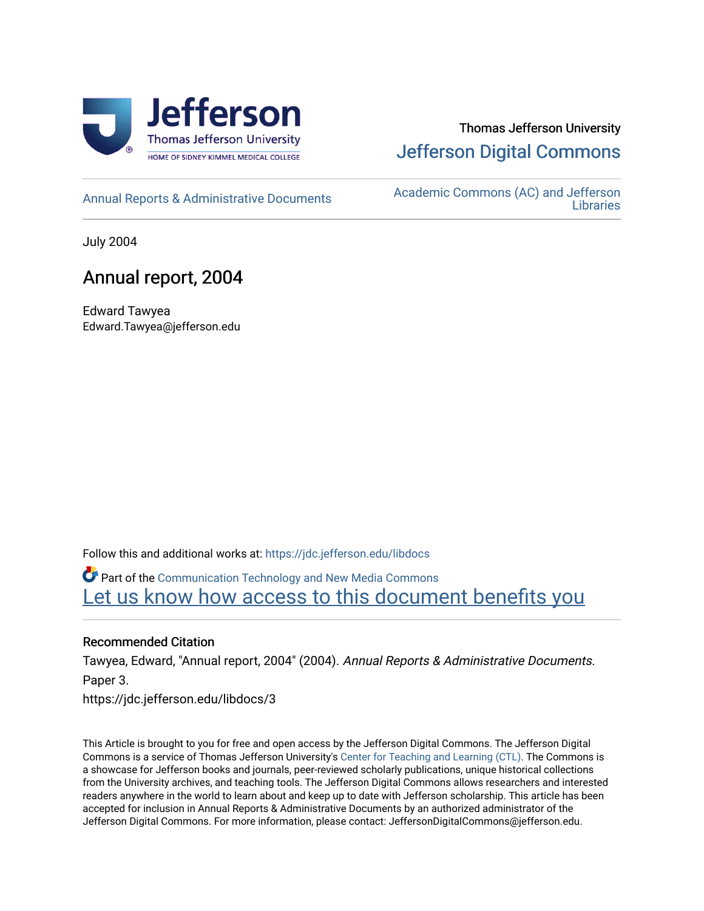

# Thomas Jefferson University [Jefferson Digital Commons](https://jdc.jefferson.edu/)

[Annual Reports & Administrative Documents](https://jdc.jefferson.edu/libdocs) Academic Commons (AC) and Jefferson **Libraries** 

July 2004

# Annual report, 2004

Edward Tawyea Edward.Tawyea@jefferson.edu

Follow this and additional works at: [https://jdc.jefferson.edu/libdocs](https://jdc.jefferson.edu/libdocs?utm_source=jdc.jefferson.edu%2Flibdocs%2F3&utm_medium=PDF&utm_campaign=PDFCoverPages)

Part of the [Communication Technology and New Media Commons](http://network.bepress.com/hgg/discipline/327?utm_source=jdc.jefferson.edu%2Flibdocs%2F3&utm_medium=PDF&utm_campaign=PDFCoverPages)  Let us know how access to this document benefits you

# Recommended Citation

Tawyea, Edward, "Annual report, 2004" (2004). Annual Reports & Administrative Documents. Paper 3.

https://jdc.jefferson.edu/libdocs/3

This Article is brought to you for free and open access by the Jefferson Digital Commons. The Jefferson Digital Commons is a service of Thomas Jefferson University's [Center for Teaching and Learning \(CTL\)](http://www.jefferson.edu/university/teaching-learning.html/). The Commons is a showcase for Jefferson books and journals, peer-reviewed scholarly publications, unique historical collections from the University archives, and teaching tools. The Jefferson Digital Commons allows researchers and interested readers anywhere in the world to learn about and keep up to date with Jefferson scholarship. This article has been accepted for inclusion in Annual Reports & Administrative Documents by an authorized administrator of the Jefferson Digital Commons. For more information, please contact: JeffersonDigitalCommons@jefferson.edu.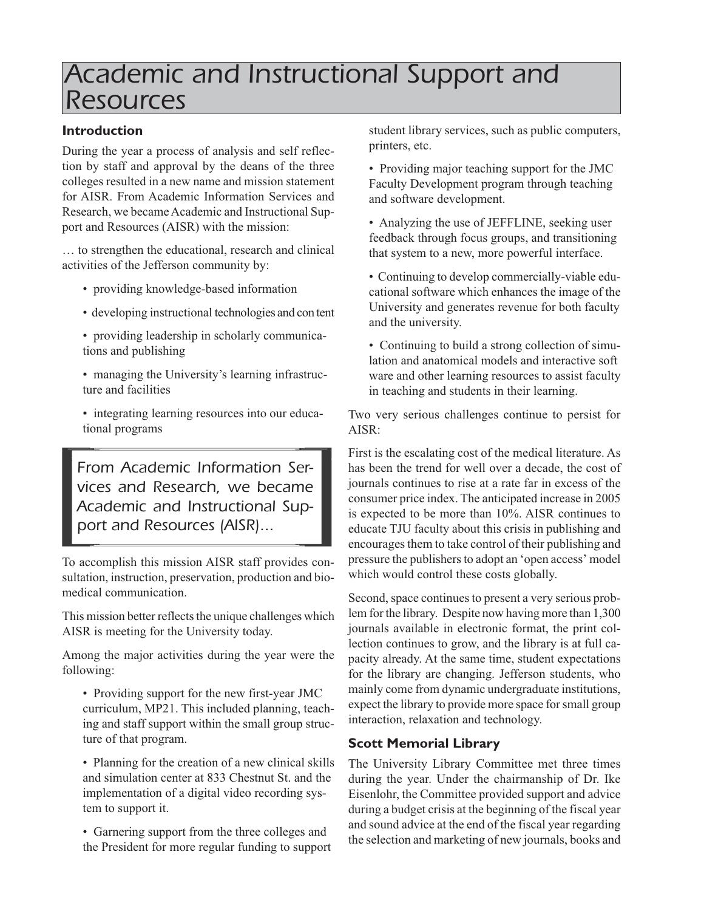# *Academic and Instructional Support and Resources*

# **Introduction**

During the year a process of analysis and self reflection by staff and approval by the deans of the three colleges resulted in a new name and mission statement for AISR. From Academic Information Services and Research, we became Academic and Instructional Support and Resources (AISR) with the mission:

… to strengthen the educational, research and clinical activities of the Jefferson community by:

- providing knowledge-based information
- developing instructional technologies and con tent
- providing leadership in scholarly communications and publishing
- managing the University's learning infrastructure and facilities
- integrating learning resources into our educational programs

*From Academic Information Services and Research, we became Academic and Instructional Support and Resources (AISR)...*

To accomplish this mission AISR staff provides consultation, instruction, preservation, production and biomedical communication.

This mission better reflects the unique challenges which AISR is meeting for the University today.

Among the major activities during the year were the following:

• Providing support for the new first-year JMC curriculum, MP21. This included planning, teaching and staff support within the small group structure of that program.

• Planning for the creation of a new clinical skills and simulation center at 833 Chestnut St. and the implementation of a digital video recording system to support it.

• Garnering support from the three colleges and the President for more regular funding to support student library services, such as public computers, printers, etc.

• Providing major teaching support for the JMC Faculty Development program through teaching and software development.

- Analyzing the use of JEFFLINE, seeking user feedback through focus groups, and transitioning that system to a new, more powerful interface.
- Continuing to develop commercially-viable educational software which enhances the image of the University and generates revenue for both faculty and the university.
- Continuing to build a strong collection of simulation and anatomical models and interactive soft ware and other learning resources to assist faculty in teaching and students in their learning.

Two very serious challenges continue to persist for AISR:

First is the escalating cost of the medical literature. As has been the trend for well over a decade, the cost of journals continues to rise at a rate far in excess of the consumer price index. The anticipated increase in 2005 is expected to be more than 10%. AISR continues to educate TJU faculty about this crisis in publishing and encourages them to take control of their publishing and pressure the publishers to adopt an 'open access' model which would control these costs globally.

Second, space continues to present a very serious problem for the library. Despite now having more than 1,300 journals available in electronic format, the print collection continues to grow, and the library is at full capacity already. At the same time, student expectations for the library are changing. Jefferson students, who mainly come from dynamic undergraduate institutions, expect the library to provide more space for small group interaction, relaxation and technology.

# **Scott Memorial Library**

The University Library Committee met three times during the year. Under the chairmanship of Dr. Ike Eisenlohr, the Committee provided support and advice during a budget crisis at the beginning of the fiscal year and sound advice at the end of the fiscal year regarding the selection and marketing of new journals, books and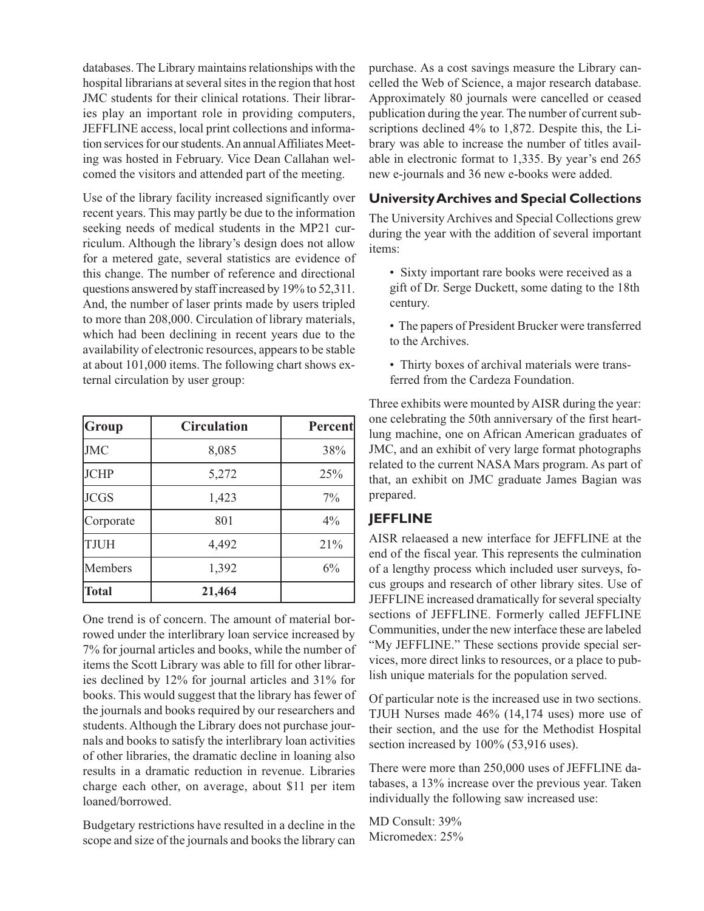databases. The Library maintains relationships with the hospital librarians at several sites in the region that host JMC students for their clinical rotations. Their libraries play an important role in providing computers, JEFFLINE access, local print collections and information services for our students. An annual Affiliates Meeting was hosted in February. Vice Dean Callahan welcomed the visitors and attended part of the meeting.

Use of the library facility increased significantly over recent years. This may partly be due to the information seeking needs of medical students in the MP21 curriculum. Although the library's design does not allow for a metered gate, several statistics are evidence of this change. The number of reference and directional questions answered by staff increased by 19% to 52,311. And, the number of laser prints made by users tripled to more than 208,000. Circulation of library materials, which had been declining in recent years due to the availability of electronic resources, appears to be stable at about 101,000 items. The following chart shows external circulation by user group:

| Group        | <b>Circulation</b> | Percent |
|--------------|--------------------|---------|
| <b>JMC</b>   | 8,085              | 38%     |
| <b>JCHP</b>  | 5,272              | 25%     |
| <b>JCGS</b>  | 1,423              | $7\%$   |
| Corporate    | 801                | 4%      |
| <b>TJUH</b>  | 4,492              | 21%     |
| Members      | 1,392              | 6%      |
| <b>Total</b> | 21,464             |         |

One trend is of concern. The amount of material borrowed under the interlibrary loan service increased by 7% for journal articles and books, while the number of items the Scott Library was able to fill for other libraries declined by 12% for journal articles and 31% for books. This would suggest that the library has fewer of the journals and books required by our researchers and students. Although the Library does not purchase journals and books to satisfy the interlibrary loan activities of other libraries, the dramatic decline in loaning also results in a dramatic reduction in revenue. Libraries charge each other, on average, about \$11 per item loaned/borrowed.

Budgetary restrictions have resulted in a decline in the scope and size of the journals and books the library can

purchase. As a cost savings measure the Library cancelled the Web of Science, a major research database. Approximately 80 journals were cancelled or ceased publication during the year. The number of current subscriptions declined 4% to 1,872. Despite this, the Library was able to increase the number of titles available in electronic format to 1,335. By year's end 265 new e-journals and 36 new e-books were added.

## **University Archives and Special Collections**

The University Archives and Special Collections grew during the year with the addition of several important items:

- Sixty important rare books were received as a gift of Dr. Serge Duckett, some dating to the 18th century.
- The papers of President Brucker were transferred to the Archives.
- Thirty boxes of archival materials were transferred from the Cardeza Foundation.

Three exhibits were mounted by AISR during the year: one celebrating the 50th anniversary of the first heartlung machine, one on African American graduates of JMC, and an exhibit of very large format photographs related to the current NASA Mars program. As part of that, an exhibit on JMC graduate James Bagian was prepared.

# **JEFFLINE**

AISR relaeased a new interface for JEFFLINE at the end of the fiscal year. This represents the culmination of a lengthy process which included user surveys, focus groups and research of other library sites. Use of JEFFLINE increased dramatically for several specialty sections of JEFFLINE. Formerly called JEFFLINE Communities, under the new interface these are labeled "My JEFFLINE." These sections provide special services, more direct links to resources, or a place to publish unique materials for the population served.

Of particular note is the increased use in two sections. TJUH Nurses made 46% (14,174 uses) more use of their section, and the use for the Methodist Hospital section increased by 100% (53,916 uses).

There were more than 250,000 uses of JEFFLINE databases, a 13% increase over the previous year. Taken individually the following saw increased use:

MD Consult: 39% Micromedex: 25%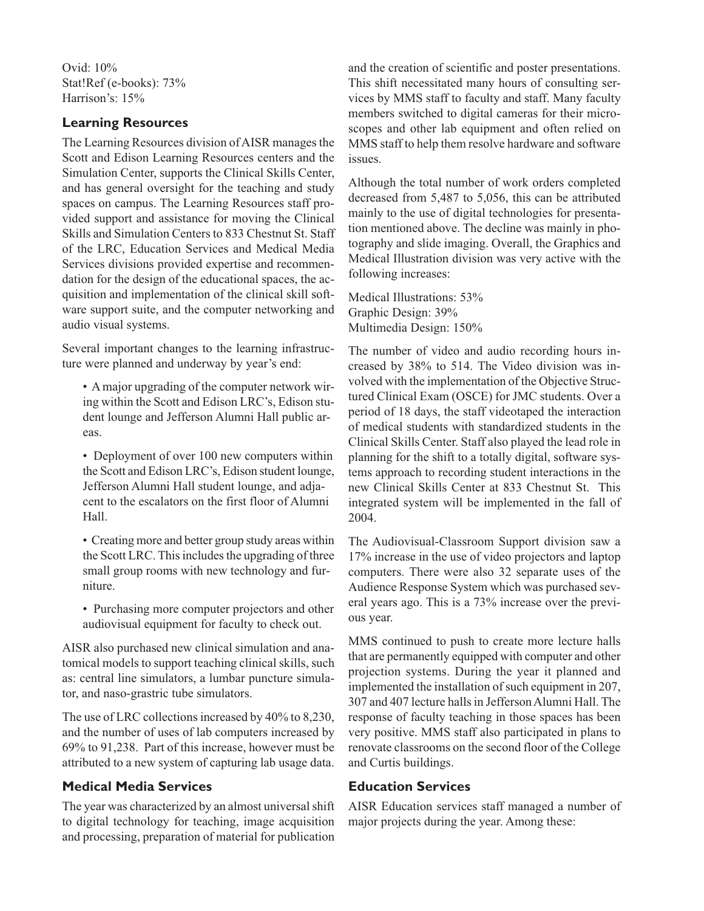Ovid: 10% Stat!Ref (e-books): 73% Harrison's: 15%

## **Learning Resources**

The Learning Resources division of AISR manages the Scott and Edison Learning Resources centers and the Simulation Center, supports the Clinical Skills Center, and has general oversight for the teaching and study spaces on campus. The Learning Resources staff provided support and assistance for moving the Clinical Skills and Simulation Centers to 833 Chestnut St. Staff of the LRC, Education Services and Medical Media Services divisions provided expertise and recommendation for the design of the educational spaces, the acquisition and implementation of the clinical skill software support suite, and the computer networking and audio visual systems.

Several important changes to the learning infrastructure were planned and underway by year's end:

- A major upgrading of the computer network wiring within the Scott and Edison LRC's, Edison student lounge and Jefferson Alumni Hall public areas.
- Deployment of over 100 new computers within the Scott and Edison LRC's, Edison student lounge, Jefferson Alumni Hall student lounge, and adjacent to the escalators on the first floor of Alumni Hall.
- Creating more and better group study areas within the Scott LRC. This includes the upgrading of three small group rooms with new technology and furniture.
- Purchasing more computer projectors and other audiovisual equipment for faculty to check out.

AISR also purchased new clinical simulation and anatomical models to support teaching clinical skills, such as: central line simulators, a lumbar puncture simulator, and naso-grastric tube simulators.

The use of LRC collections increased by 40% to 8,230, and the number of uses of lab computers increased by 69% to 91,238. Part of this increase, however must be attributed to a new system of capturing lab usage data.

### **Medical Media Services**

The year was characterized by an almost universal shift to digital technology for teaching, image acquisition and processing, preparation of material for publication and the creation of scientific and poster presentations. This shift necessitated many hours of consulting services by MMS staff to faculty and staff. Many faculty members switched to digital cameras for their microscopes and other lab equipment and often relied on MMS staff to help them resolve hardware and software issues.

Although the total number of work orders completed decreased from 5,487 to 5,056, this can be attributed mainly to the use of digital technologies for presentation mentioned above. The decline was mainly in photography and slide imaging. Overall, the Graphics and Medical Illustration division was very active with the following increases:

Medical Illustrations: 53% Graphic Design: 39% Multimedia Design: 150%

The number of video and audio recording hours increased by 38% to 514. The Video division was involved with the implementation of the Objective Structured Clinical Exam (OSCE) for JMC students. Over a period of 18 days, the staff videotaped the interaction of medical students with standardized students in the Clinical Skills Center. Staff also played the lead role in planning for the shift to a totally digital, software systems approach to recording student interactions in the new Clinical Skills Center at 833 Chestnut St. This integrated system will be implemented in the fall of 2004.

The Audiovisual-Classroom Support division saw a 17% increase in the use of video projectors and laptop computers. There were also 32 separate uses of the Audience Response System which was purchased several years ago. This is a 73% increase over the previous year.

MMS continued to push to create more lecture halls that are permanently equipped with computer and other projection systems. During the year it planned and implemented the installation of such equipment in 207, 307 and 407 lecture halls in Jefferson Alumni Hall. The response of faculty teaching in those spaces has been very positive. MMS staff also participated in plans to renovate classrooms on the second floor of the College and Curtis buildings.

### **Education Services**

AISR Education services staff managed a number of major projects during the year. Among these: